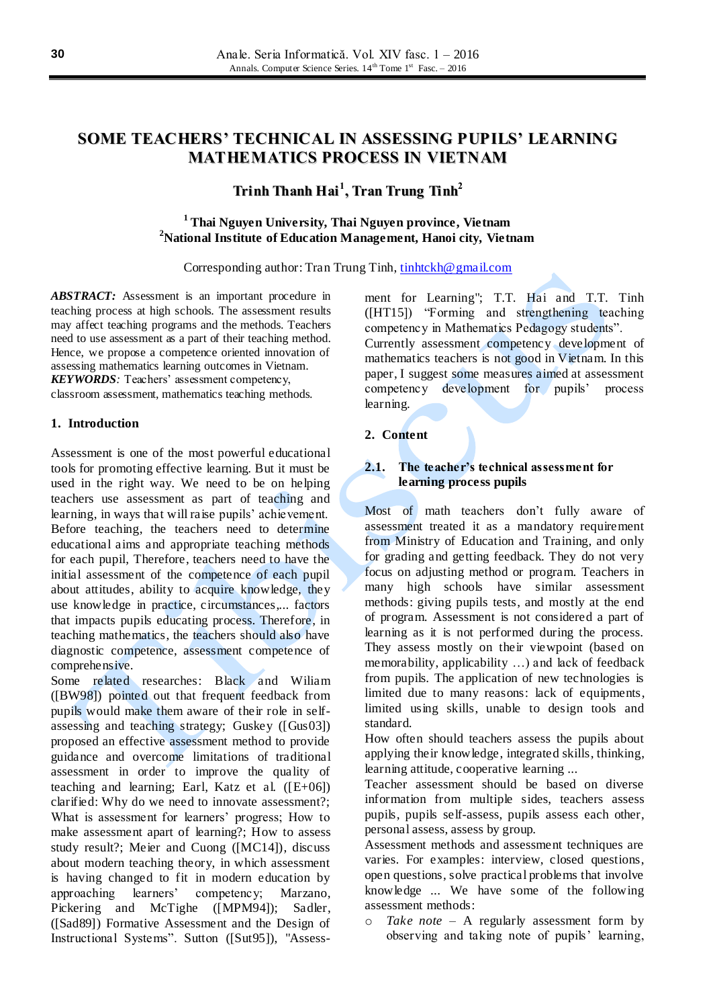# **SOME TEACHERS' TECHNICAL IN ASSESSING PUPILS' LEARNING MATHEMATICS PROCESS IN VIETNAM**

# **Trinh Thanh Hai 1 , Tran Trung Tinh 2**

## **<sup>1</sup> Thai Nguyen University, Thai Nguyen province, Vietnam <sup>2</sup>National Institute of Education Management, Hanoi city, Vietnam**

Corresponding author: Tran Trung Tinh, [tinhtckh@gmail.com](mailto:tinhtckh@gmail.com)

*ABSTRACT:* Assessment is an important procedure in teaching process at high schools. The assessment results may affect teaching programs and the methods. Teachers need to use assessment as a part of their teaching method. Hence, we propose a competence oriented innovation of assessing mathematics learning outcomes in Vietnam. *KEYWORDS:* Teachers' assessment competency,

classroom assessment, mathematics teaching methods.

#### **1. Introduction**

Assessment is one of the most powerful educational tools for promoting effective learning. But it must be used in the right way. We need to be on helping teachers use assessment as part of teaching and learning, in ways that will raise pupils' achievement. Before teaching, the teachers need to determine educational aims and appropriate teaching methods for each pupil, Therefore, teachers need to have the initial assessment of the competence of each pupil about attitudes, ability to acquire knowledge, they use knowledge in practice, circumstances,... factors that impacts pupils educating process. Therefore, in teaching mathematics, the teachers should also have diagnostic competence, assessment competence of comprehensive.

Some related researches: Black and Wiliam ([BW98]) pointed out that frequent feedback from pupils would make them aware of their role in selfassessing and teaching strategy; Guskey ([Gus03]) proposed an effective assessment method to provide guidance and overcome limitations of traditional assessment in order to improve the quality of teaching and learning; Earl, Katz et al. ([E+06]) clarified: Why do we need to innovate assessment?; What is assessment for learners' progress; How to make assessment apart of learning?; How to assess study result?; Meier and Cuong ([MC14]), discuss about modern teaching theory, in which assessment is having changed to fit in modern education by approaching learners' competency; Marzano, Pickering and McTighe ([MPM94]); Sadler, ([Sad89]) Formative Assessment and the Design of Instructional Systems". Sutton ([Sut95]), "Assessment for Learning"; T.T. Hai and T.T. Tinh ([HT15]) "Forming and strengthening teaching competency in Mathematics Pedagogy students".

Currently assessment competency development of mathematics teachers is not good in Vietnam. In this paper, I suggest some measures aimed at assessment competency development for pupils' process learning.

#### **2. Content**

### **2.1. The teacher's technical assessment for learning process pupils**

Most of math teachers don't fully aware of assessment treated it as a mandatory requirement from Ministry of Education and Training, and only for grading and getting feedback. They do not very focus on adjusting method or program. Teachers in many high schools have similar assessment methods: giving pupils tests, and mostly at the end of program. Assessment is not considered a part of learning as it is not performed during the process. They assess mostly on their viewpoint (based on memorability, applicability …) and lack of feedback from pupils. The application of new technologies is limited due to many reasons: lack of equipments, limited using skills, unable to design tools and standard.

How often should teachers assess the pupils about applying their knowledge, integrated skills, thinking, learning attitude, cooperative learning ...

Teacher assessment should be based on diverse information from multiple sides, teachers assess pupils, pupils self-assess, pupils assess each other, personal assess, assess by group.

Assessment methods and assessment techniques are varies. For examples: interview, closed questions, open questions, solve practical problems that involve knowledge ... We have some of the following assessment methods:

o *Take note –* A regularly assessment form by observing and taking note of pupils' learning,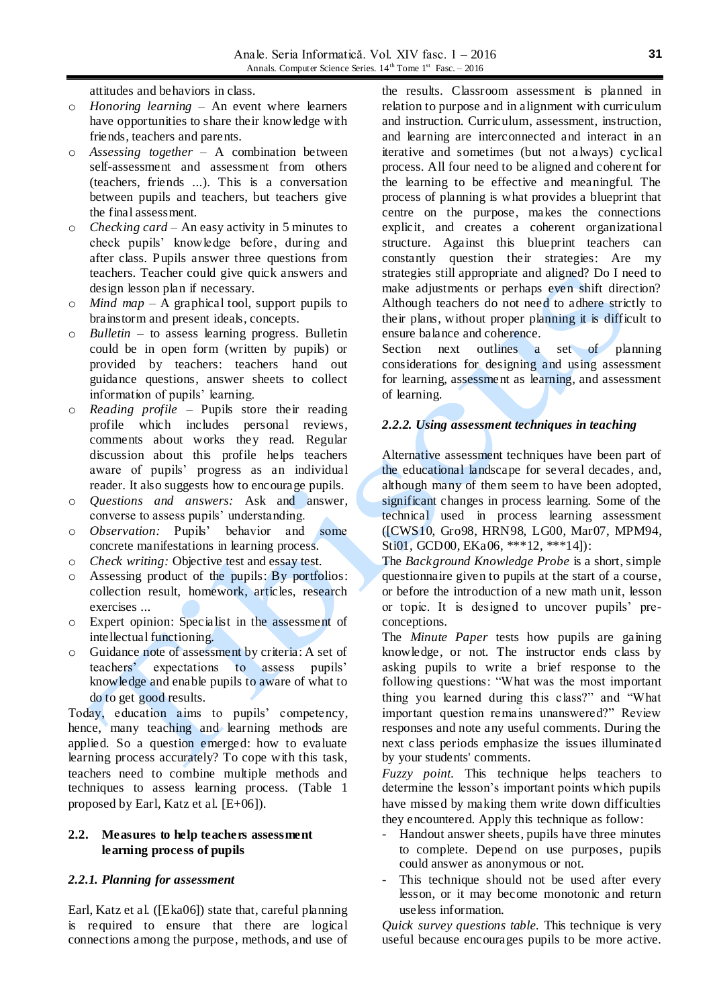attitudes and behaviors in class.

- o *Honoring learning* An event where learners have opportunities to share their knowledge with friends, teachers and parents.
- o *Assessing together –* A combination between self-assessment and assessment from others (teachers, friends ...). This is a conversation between pupils and teachers, but teachers give the final assessment.
- o *Checking card*  An easy activity in 5 minutes to check pupils' knowledge before, during and after class. Pupils answer three questions from teachers. Teacher could give quick answers and design lesson plan if necessary.
- o *Mind map –* A graphical tool, support pupils to brainstorm and present ideals, concepts.
- o *Bulletin*  to assess learning progress. Bulletin could be in open form (written by pupils) or provided by teachers: teachers hand out guidance questions, answer sheets to collect information of pupils' learning.
- o *Reading profile* Pupils store their reading profile which includes personal reviews, comments about works they read. Regular discussion about this profile helps teachers aware of pupils' progress as an individual reader. It also suggests how to encourage pupils.
- o *Questions and answers:* Ask and answer, converse to assess pupils' understanding.
- o *Observation:* Pupils' behavior and some concrete manifestations in learning process.
- o *Check writing:* Objective test and essay test.
- o Assessing product of the pupils: By portfolios: collection result, homework, articles, research exercises ...
- o Expert opinion: Specialist in the assessment of intellectual functioning.
- o Guidance note of assessment by criteria: A set of teachers' expectations to assess pupils' knowledge and enable pupils to aware of what to do to get good results.

Today, education aims to pupils' competency, hence, many teaching and learning methods are applied. So a question emerged: how to evaluate learning process accurately? To cope with this task, teachers need to combine multiple methods and techniques to assess learning process. (Table 1 proposed by Earl, Katz et al. [E+06]).

### **2.2. Measures to help teachers assessment learning process of pupils**

#### *2.2.1. Planning for assessment*

Earl, Katz et al. ([Eka06]) state that, careful planning is required to ensure that there are logical connections among the purpose, methods, and use of

the results. Classroom assessment is planned in relation to purpose and in alignment with curriculum and instruction. Curriculum, assessment, instruction, and learning are interconnected and interact in an iterative and sometimes (but not a lways) cyclical process. All four need to be aligned and coherent for the learning to be effective and meaningful. The process of planning is what provides a blueprint that centre on the purpose, makes the connections explicit, and creates a coherent organizational structure. Against this blueprint teachers can constantly question their strategies: Are my strategies still appropriate and aligned? Do I need to make adjustments or perhaps even shift direction? Although teachers do not need to adhere strictly to their plans, without proper planning it is difficult to ensure balance and coherence.

Section next outlines a set of planning considerations for designing and using assessment for learning, assessment as learning, and assessment of learning.

## *2.2.2. Using assessment techniques in teaching*

Alternative assessment techniques have been part of the educational landscape for several decades, and, although many of them seem to have been adopted, significant changes in process learning. Some of the technical used in process learning assessment ([CWS10, Gro98, HRN98, LG00, Mar07, MPM94, Sti01, GCD00, EKa06, \*\*\*12, \*\*\*14]):

The *Background Knowledge Probe* is a short, simple questionnaire given to pupils at the start of a course, or before the introduction of a new math unit, lesson or topic. It is designed to uncover pupils' preconceptions.

The *Minute Paper* tests how pupils are gaining knowledge, or not. The instructor ends class by asking pupils to write a brief response to the following questions: "What was the most important thing you learned during this class?" and "What important question remains unanswered?" Review responses and note any useful comments. During the next class periods emphasize the issues illuminated by your students' comments.

*Fuzzy point.* This technique helps teachers to determine the lesson's important points which pupils have missed by making them write down difficulties they encountered. Apply this technique as follow:

- Handout answer sheets, pupils have three minutes to complete. Depend on use purposes, pupils could answer as anonymous or not.
- This technique should not be used after every lesson, or it may become monotonic and return useless information.

*Quick survey questions table.* This technique is very useful because encourages pupils to be more active.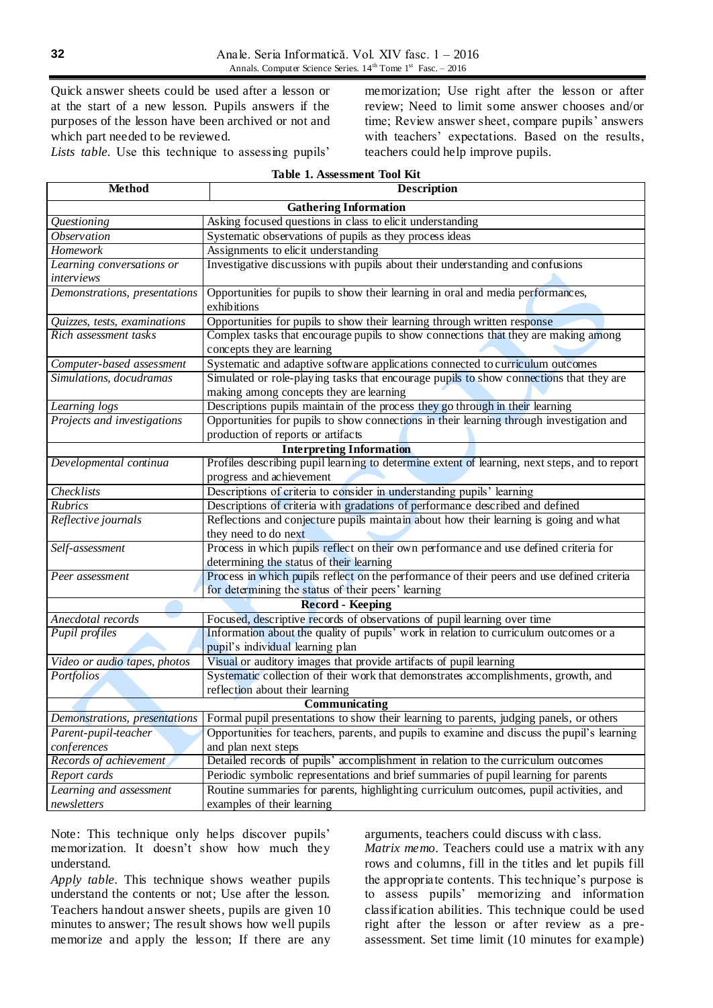Quick answer sheets could be used after a lesson or at the start of a new lesson. Pupils answers if the purposes of the lesson have been archived or not and which part needed to be reviewed.

memorization; Use right after the lesson or after review; Need to limit some answer chooses and/or time; Review answer sheet, compare pupils' answers with teachers' expectations. Based on the results, teachers could help improve pupils.

Lists table. Use this technique to assessing pupils'

| Table 1. Assessment Tool Kit |  |
|------------------------------|--|
|------------------------------|--|

| <b>Method</b>                                                                                                            | <b>Description</b>                                                                                                                                       |  |
|--------------------------------------------------------------------------------------------------------------------------|----------------------------------------------------------------------------------------------------------------------------------------------------------|--|
| <b>Gathering Information</b>                                                                                             |                                                                                                                                                          |  |
| Questioning                                                                                                              | Asking focused questions in class to elicit understanding                                                                                                |  |
| <i><b>Observation</b></i>                                                                                                | Systematic observations of pupils as they process ideas                                                                                                  |  |
| Homework                                                                                                                 | Assignments to elicit understanding                                                                                                                      |  |
| Learning conversations or                                                                                                | Investigative discussions with pupils about their understanding and confusions                                                                           |  |
| interviews                                                                                                               |                                                                                                                                                          |  |
| Demonstrations, presentations                                                                                            | Opportunities for pupils to show their learning in oral and media performances,<br>exhibitions                                                           |  |
| Quizzes, tests, examinations                                                                                             | Opportunities for pupils to show their learning through written response                                                                                 |  |
| Rich assessment tasks                                                                                                    | Complex tasks that encourage pupils to show connections that they are making among                                                                       |  |
|                                                                                                                          | concepts they are learning                                                                                                                               |  |
| Computer-based assessment                                                                                                | Systematic and adaptive software applications connected to curriculum outcomes                                                                           |  |
| Simulations, docudramas                                                                                                  | Simulated or role-playing tasks that encourage pupils to show connections that they are                                                                  |  |
|                                                                                                                          | making among concepts they are learning                                                                                                                  |  |
| Learning logs                                                                                                            | Descriptions pupils maintain of the process they go through in their learning                                                                            |  |
| Projects and investigations                                                                                              | Opportunities for pupils to show connections in their learning through investigation and<br>production of reports or artifacts                           |  |
| <b>Interpreting Information</b>                                                                                          |                                                                                                                                                          |  |
| Developmental continua                                                                                                   | Profiles describing pupil learning to determine extent of learning, next steps, and to report                                                            |  |
|                                                                                                                          | progress and achievement                                                                                                                                 |  |
| Checklists                                                                                                               | Descriptions of criteria to consider in understanding pupils' learning                                                                                   |  |
| Rubrics                                                                                                                  | Descriptions of criteria with gradations of performance described and defined                                                                            |  |
| Reflective journals                                                                                                      | Reflections and conjecture pupils maintain about how their learning is going and what                                                                    |  |
|                                                                                                                          | they need to do next                                                                                                                                     |  |
| Self-assessment                                                                                                          | Process in which pupils reflect on their own performance and use defined criteria for                                                                    |  |
|                                                                                                                          | determining the status of their learning                                                                                                                 |  |
| Peer assessment                                                                                                          | Process in which pupils reflect on the performance of their peers and use defined criteria                                                               |  |
| for determining the status of their peers' learning                                                                      |                                                                                                                                                          |  |
| <b>Record - Keeping</b>                                                                                                  |                                                                                                                                                          |  |
| Anecdotal records                                                                                                        | Focused, descriptive records of observations of pupil learning over time                                                                                 |  |
| Pupil profiles                                                                                                           | Information about the quality of pupils' work in relation to curriculum outcomes or a<br>pupil's individual learning plan                                |  |
| Video or audio tapes, photos                                                                                             |                                                                                                                                                          |  |
|                                                                                                                          | Visual or auditory images that provide artifacts of pupil learning<br>Systematic collection of their work that demonstrates accomplishments, growth, and |  |
| Portfolios                                                                                                               | reflection about their learning                                                                                                                          |  |
| Communicating                                                                                                            |                                                                                                                                                          |  |
| Formal pupil presentations to show their learning to parents, judging panels, or others<br>Demonstrations, presentations |                                                                                                                                                          |  |
| Parent-pupil-teacher                                                                                                     | Opportunities for teachers, parents, and pupils to examine and discuss the pupil's learning                                                              |  |
| conferences                                                                                                              | and plan next steps                                                                                                                                      |  |
| Records of achievement                                                                                                   | Detailed records of pupils' accomplishment in relation to the curriculum outcomes                                                                        |  |
| Report cards                                                                                                             | Periodic symbolic representations and brief summaries of pupil learning for parents                                                                      |  |
| Learning and assessment<br>Routine summaries for parents, highlighting curriculum outcomes, pupil activities, and        |                                                                                                                                                          |  |
| newsletters                                                                                                              | examples of their learning                                                                                                                               |  |
|                                                                                                                          |                                                                                                                                                          |  |

Note: This technique only helps discover pupils' memorization. It doesn't show how much they understand.

*Apply table.* This technique shows weather pupils understand the contents or not; Use after the lesson. Teachers handout answer sheets, pupils are given 10 minutes to answer; The result shows how well pupils memorize and apply the lesson; If there are any arguments, teachers could discuss with class.

*Matrix memo.* Teachers could use a matrix with any rows and columns, fill in the titles and let pupils fill the appropriate contents. This technique's purpose is to assess pupils' memorizing and information classification abilities. This technique could be used right after the lesson or after review as a preassessment. Set time limit (10 minutes for example)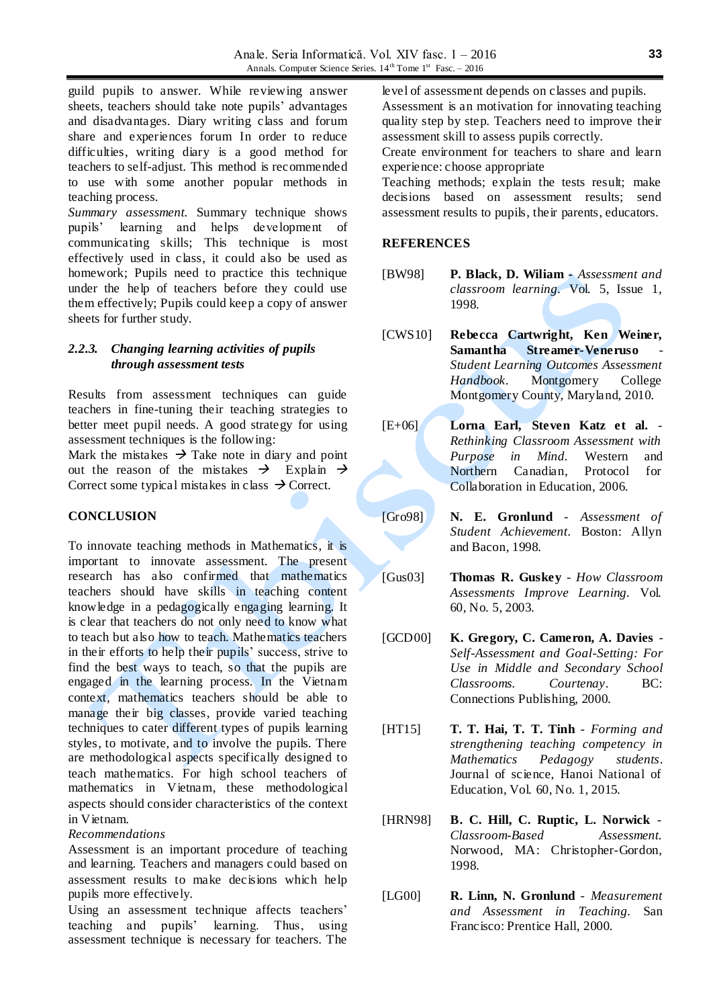guild pupils to answer. While reviewing answer sheets, teachers should take note pupils' advantages and disadvantages. Diary writing class and forum share and experiences forum In order to reduce difficulties, writing diary is a good method for teachers to self-adjust. This method is recommended to use with some another popular methods in teaching process.

*Summary assessment.* Summary technique shows pupils' learning and helps deve lopment of communicating skills; This technique is most effectively used in class, it could also be used as homework; Pupils need to practice this technique under the help of teachers before they could use them effectively; Pupils could keep a copy of answer sheets for further study.

## *2.2.3. Changing learning activities of pupils through assessment tests*

Results from assessment techniques can guide teachers in fine-tuning their teaching strategies to better meet pupil needs. A good strategy for using assessment techniques is the following:

Mark the mistakes  $\rightarrow$  Take note in diary and point out the reason of the mistakes  $\rightarrow$  Explain  $\rightarrow$ Correct some typical mistakes in class  $\rightarrow$  Correct.

# **CONCLUSION**

To innovate teaching methods in Mathematics, it is important to innovate assessment. The present research has also confirmed that mathematics teachers should have skills in teaching content knowledge in a pedagogically engaging learning. It is clear that teachers do not only need to know what to teach but also how to teach. Mathematics teachers in their efforts to help their pupils' success, strive to find the best ways to teach, so that the pupils are engaged in the learning process. In the Vietnam context, mathematics teachers should be able to manage their big classes, provide varied teaching techniques to cater different types of pupils learning styles, to motivate, and to involve the pupils. There are methodological aspects specifically designed to teach mathematics. For high school teachers of mathematics in Vietnam, these methodological aspects should consider characteristics of the context in Vietnam.

## *Recommendations*

Assessment is an important procedure of teaching and learning. Teachers and managers could based on assessment results to make decisions which help pupils more effectively.

Using an assessment technique affects teachers' teaching and pupils' learning. Thus, using assessment technique is necessary for teachers. The

level of assessment depends on classes and pupils.

Assessment is an motivation for innovating teaching quality step by step. Teachers need to improve their assessment skill to assess pupils correctly.

Create environment for teachers to share and learn experience: choose appropriate

Teaching methods; explain the tests result; make decisions based on assessment results; send assessment results to pupils, their parents, educators.

## **REFERENCES**

- [BW98] **P. Black, D. Wiliam -** *Assessment and classroom learning.* Vol. 5, Issue 1, 1998.
- [CWS10] **Rebecca Cartwright, Ken Weiner, Samantha Streamer-Veneruso** *Student Learning Outcomes Assessment Handbook*. Montgomery College Montgomery County, Maryland, 2010.
- [E+06] **Lorna Earl, Steven Katz et al.** *Rethinking Classroom Assessment with Purpose in Mind.* Western and Northern Canadian, Protocol for Collaboration in Education, 2006.
- [Gro98] **N. E. Gronlund** *Assessment of Student Achievement*. Boston: Allyn and Bacon, 1998.

[Gus03] **Thomas R. Guskey** - *How Classroom Assessments Improve Learning.* Vol. 60, No. 5, 2003.

- [GCD00] **K. Gregory, C. Cameron, A. Davies**  *Self-Assessment and Goal-Setting: For Use in Middle and Secondary School Classrooms. Courtenay*. BC: Connections Publishing, 2000.
- [HT15] **T. T. Hai, T. T. Tinh** *Forming and strengthening teaching competency in Mathematics Pedagogy students*. Journal of science, Hanoi National of Education, Vol. 60, No. 1, 2015.
- [HRN98] **B. C. Hill, C. Ruptic, L. Norwick** *Classroom-Based Assessment.* Norwood, MA: Christopher-Gordon, 1998.
- [LG00] **R. Linn, N. Gronlund** *Measurement and Assessment in Teaching.* San Francisco: Prentice Hall, 2000.